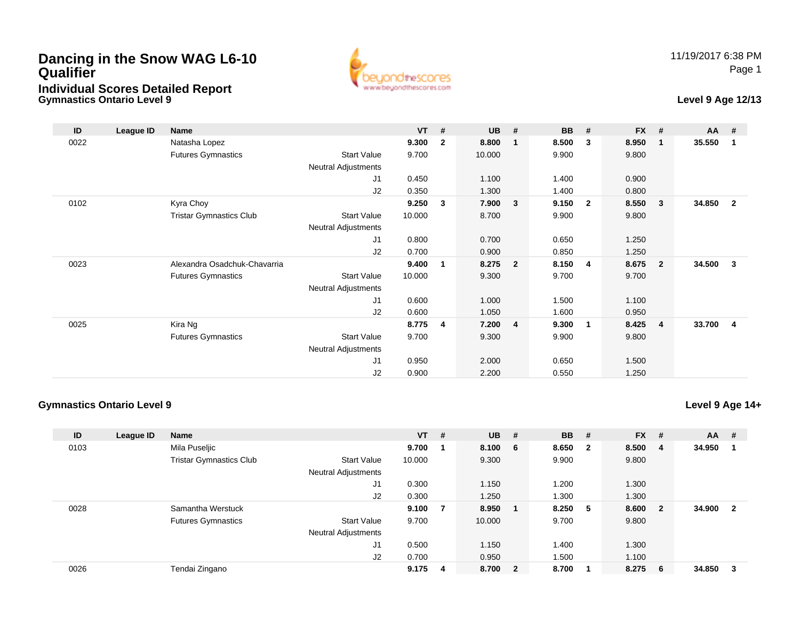## **Dancing in the Snow WAG L6-10 QualifierIndividual Scores Detailed Report**

**Gymnastics Ontario Level 9**



## **Level 9 Age 12/13**

| ID   | League ID | <b>Name</b>                    |                     | $VT$ # |              | <b>UB</b> | #              | <b>BB</b> | #                       | <b>FX</b> | #                       | <b>AA</b> | #              |
|------|-----------|--------------------------------|---------------------|--------|--------------|-----------|----------------|-----------|-------------------------|-----------|-------------------------|-----------|----------------|
| 0022 |           | Natasha Lopez                  |                     | 9.300  | $\mathbf{2}$ | 8.800     |                | 8.500     | 3                       | 8.950     | $\mathbf 1$             | 35.550    | 1              |
|      |           | <b>Futures Gymnastics</b>      | <b>Start Value</b>  | 9.700  |              | 10.000    |                | 9.900     |                         | 9.800     |                         |           |                |
|      |           |                                | Neutral Adjustments |        |              |           |                |           |                         |           |                         |           |                |
|      |           |                                | J1                  | 0.450  |              | 1.100     |                | 1.400     |                         | 0.900     |                         |           |                |
|      |           |                                | J2                  | 0.350  |              | 1.300     |                | 1.400     |                         | 0.800     |                         |           |                |
| 0102 |           | Kyra Choy                      |                     | 9.250  | 3            | 7.900     | $\mathbf{3}$   | 9.150     | $\overline{2}$          | 8.550     | $\mathbf{3}$            | 34.850    | $\overline{2}$ |
|      |           | <b>Tristar Gymnastics Club</b> | <b>Start Value</b>  | 10.000 |              | 8.700     |                | 9.900     |                         | 9.800     |                         |           |                |
|      |           |                                | Neutral Adjustments |        |              |           |                |           |                         |           |                         |           |                |
|      |           |                                | J1                  | 0.800  |              | 0.700     |                | 0.650     |                         | 1.250     |                         |           |                |
|      |           |                                | J2                  | 0.700  |              | 0.900     |                | 0.850     |                         | 1.250     |                         |           |                |
| 0023 |           | Alexandra Osadchuk-Chavarria   |                     | 9.400  | 1            | 8.275     | $\overline{2}$ | 8.150     | 4                       | 8.675     | $\overline{2}$          | 34.500    | 3              |
|      |           | <b>Futures Gymnastics</b>      | <b>Start Value</b>  | 10.000 |              | 9.300     |                | 9.700     |                         | 9.700     |                         |           |                |
|      |           |                                | Neutral Adjustments |        |              |           |                |           |                         |           |                         |           |                |
|      |           |                                | J1                  | 0.600  |              | 1.000     |                | 1.500     |                         | 1.100     |                         |           |                |
|      |           |                                | J2                  | 0.600  |              | 1.050     |                | 1.600     |                         | 0.950     |                         |           |                |
| 0025 |           | Kira Ng                        |                     | 8.775  | 4            | 7.200     | 4              | 9.300     | $\overline{\mathbf{1}}$ | 8.425     | $\overline{\mathbf{4}}$ | 33.700    | 4              |
|      |           | <b>Futures Gymnastics</b>      | <b>Start Value</b>  | 9.700  |              | 9.300     |                | 9.900     |                         | 9.800     |                         |           |                |
|      |           |                                | Neutral Adjustments |        |              |           |                |           |                         |           |                         |           |                |
|      |           |                                | J1                  | 0.950  |              | 2.000     |                | 0.650     |                         | 1.500     |                         |           |                |
|      |           |                                | J <sub>2</sub>      | 0.900  |              | 2.200     |                | 0.550     |                         | 1.250     |                         |           |                |

## **Gymnastics Ontario Level 9**

**Level 9 Age 14+**

| ID   | League ID | <b>Name</b>                    |                            | $VT$ # |   | <b>UB</b> | - # | <b>BB</b> | #                       | <b>FX</b> | #                       | AA     | #                       |
|------|-----------|--------------------------------|----------------------------|--------|---|-----------|-----|-----------|-------------------------|-----------|-------------------------|--------|-------------------------|
| 0103 |           | Mila Puseljic                  |                            | 9.700  |   | 8.100 6   |     | 8.650     | $\overline{\mathbf{2}}$ | 8.500     | -4                      | 34.950 |                         |
|      |           | <b>Tristar Gymnastics Club</b> | <b>Start Value</b>         | 10.000 |   | 9.300     |     | 9.900     |                         | 9.800     |                         |        |                         |
|      |           |                                | <b>Neutral Adjustments</b> |        |   |           |     |           |                         |           |                         |        |                         |
|      |           |                                | J1                         | 0.300  |   | 1.150     |     | 1.200     |                         | 1.300     |                         |        |                         |
|      |           |                                | J2                         | 0.300  |   | 1.250     |     | 1.300     |                         | 1.300     |                         |        |                         |
| 0028 |           | Samantha Werstuck              |                            | 9.100  | 7 | 8.950     |     | 8.250 5   |                         | 8.600     | $\overline{\mathbf{2}}$ | 34.900 | $\overline{\mathbf{2}}$ |
|      |           | <b>Futures Gymnastics</b>      | <b>Start Value</b>         | 9.700  |   | 10.000    |     | 9.700     |                         | 9.800     |                         |        |                         |
|      |           |                                | <b>Neutral Adjustments</b> |        |   |           |     |           |                         |           |                         |        |                         |
|      |           |                                | J <sub>1</sub>             | 0.500  |   | 1.150     |     | 1.400     |                         | 1.300     |                         |        |                         |
|      |           |                                | J2                         | 0.700  |   | 0.950     |     | 1.500     |                         | 1.100     |                         |        |                         |
| 0026 |           | Tendai Zingano                 |                            | 9.175  | 4 | 8.700 2   |     | 8.700     |                         | 8.275     | - 6                     | 34.850 | -3                      |